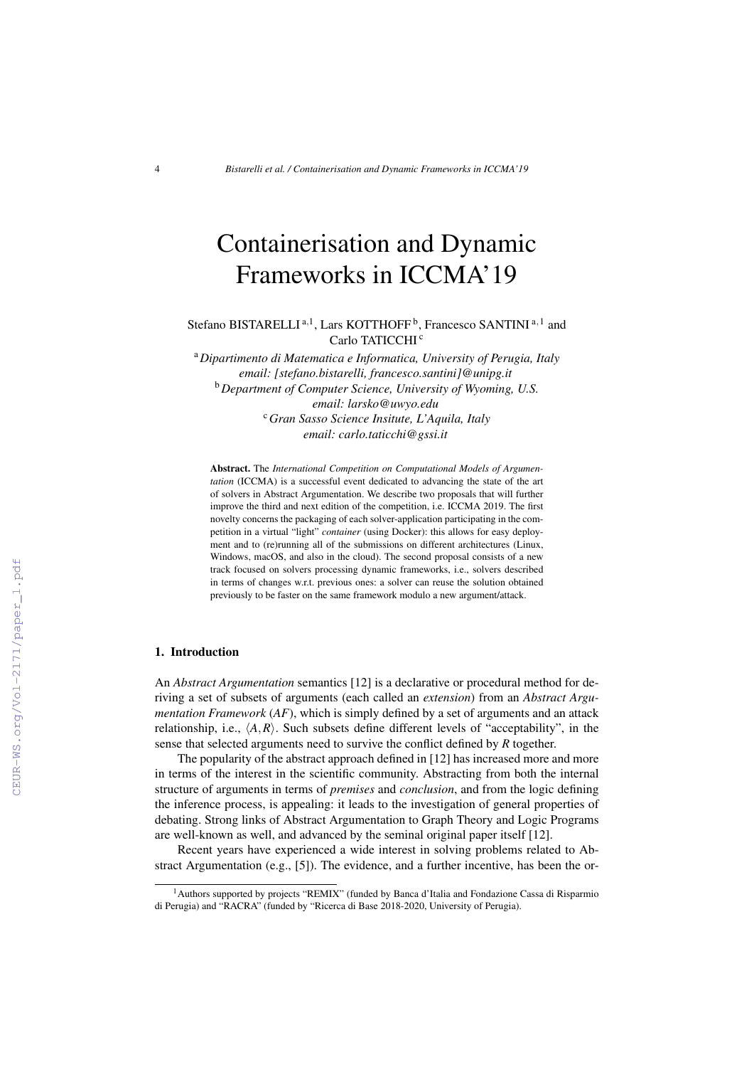# Containerisation and Dynamic Frameworks in ICCMA'19

Stefano BISTARELLI<sup>a,1</sup>, Lars KOTTHOFF<sup>b</sup>, Francesco SANTINI<sup>a,1</sup> and Carlo TATICCHI<sup>c</sup>

<sup>a</sup>*Dipartimento di Matematica e Informatica, University of Perugia, Italy email: [stefano.bistarelli, francesco.santini]@unipg.it* <sup>b</sup>*Department of Computer Science, University of Wyoming, U.S. email: larsko@uwyo.edu* <sup>c</sup>*Gran Sasso Science Insitute, L'Aquila, Italy email: carlo.taticchi@gssi.it*

Abstract. The *International Competition on Computational Models of Argumentation* (ICCMA) is a successful event dedicated to advancing the state of the art of solvers in Abstract Argumentation. We describe two proposals that will further improve the third and next edition of the competition, i.e. ICCMA 2019. The first novelty concerns the packaging of each solver-application participating in the competition in a virtual "light" *container* (using Docker): this allows for easy deployment and to (re)running all of the submissions on different architectures (Linux, Windows, macOS, and also in the cloud). The second proposal consists of a new track focused on solvers processing dynamic frameworks, i.e., solvers described in terms of changes w.r.t. previous ones: a solver can reuse the solution obtained previously to be faster on the same framework modulo a new argument/attack.

### 1. Introduction

An *Abstract Argumentation* semantics [12] is a declarative or procedural method for deriving a set of subsets of arguments (each called an *extension*) from an *Abstract Argumentation Framework* (*AF*), which is simply defined by a set of arguments and an attack relationship, i.e.,  $\langle A, R \rangle$ . Such subsets define different levels of "acceptability", in the sense that selected arguments need to survive the conflict defined by *R* together.

The popularity of the abstract approach defined in [12] has increased more and more in terms of the interest in the scientific community. Abstracting from both the internal structure of arguments in terms of *premises* and *conclusion*, and from the logic defining the inference process, is appealing: it leads to the investigation of general properties of debating. Strong links of Abstract Argumentation to Graph Theory and Logic Programs are well-known as well, and advanced by the seminal original paper itself [12].

Recent years have experienced a wide interest in solving problems related to Abstract Argumentation (e.g., [5]). The evidence, and a further incentive, has been the or-

<sup>&</sup>lt;sup>1</sup> Authors supported by projects "REMIX" (funded by Banca d'Italia and Fondazione Cassa di Risparmio di Perugia) and "RACRA" (funded by "Ricerca di Base 2018-2020, University of Perugia).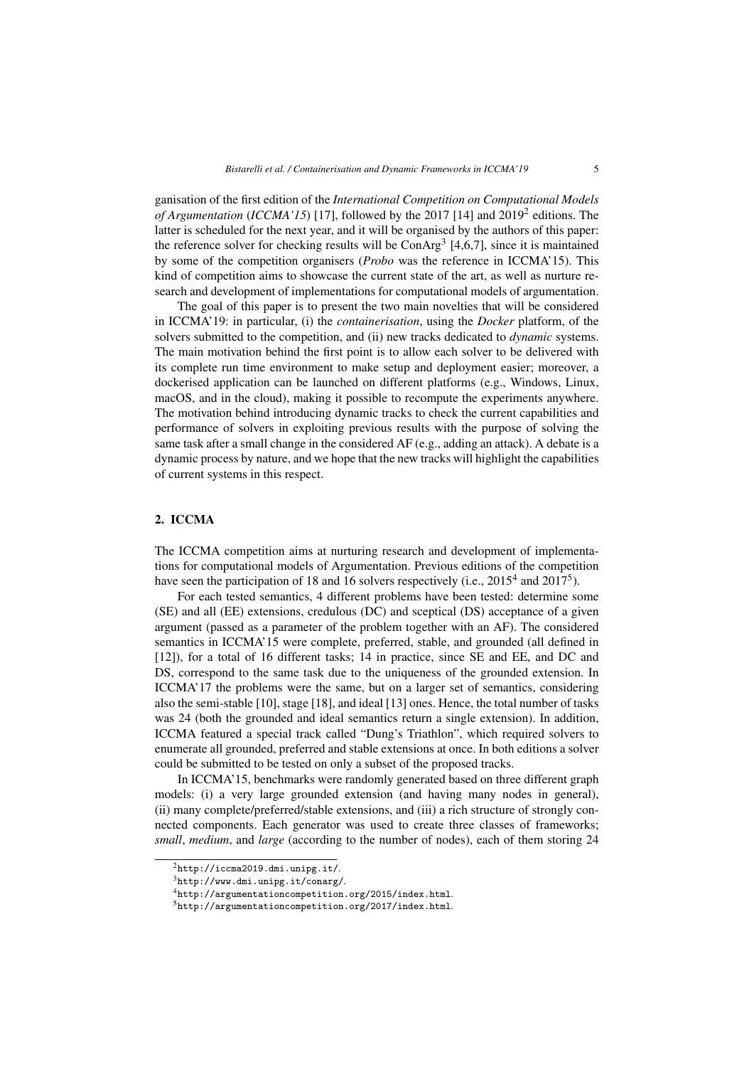ganisation of the first edition of the *International Competition on Computational Models* of Argumentation (*ICCMA'15*) [17], followed by the 2017 [14] and 2019<sup>2</sup> editions. The latter is scheduled for the next year, and it will be organised by the authors of this paper: the reference solver for checking results will be  $ConArg<sup>3</sup>$  [4,6,7], since it is maintained by some of the competition organisers (*Probo* was the reference in ICCMA'15). This kind of competition aims to showcase the current state of the art, as well as nurture research and development of implementations for computational models of argumentation.

The goal of this paper is to present the two main novelties that will be considered in ICCMA'19: in particular, (i) the *containerisation*, using the *Docker* platform, of the solvers submitted to the competition, and (ii) new tracks dedicated to *dynamic* systems. The main motivation behind the first point is to allow each solver to be delivered with its complete run time environment to make setup and deployment easier; moreover, a dockerised application can be launched on different platforms (e.g., Windows, Linux, macOS, and in the cloud), making it possible to recompute the experiments anywhere. The motivation behind introducing dynamic tracks to check the current capabilities and performance of solvers in exploiting previous results with the purpose of solving the same task after a small change in the considered AF (e.g., adding an attack). A debate is a dynamic process by nature, and we hope that the new tracks will highlight the capabilities of current systems in this respect.

## 2. ICCMA

The ICCMA competition aims at nurturing research and development of implementations for computational models of Argumentation. Previous editions of the competition have seen the participation of 18 and 16 solvers respectively (i.e., 2015<sup>4</sup> and 2017<sup>5</sup>).

For each tested semantics, 4 different problems have been tested: determine some (SE) and all (EE) extensions, credulous (DC) and sceptical (DS) acceptance of a given argument (passed as a parameter of the problem together with an AF). The considered semantics in ICCMA'15 were complete, preferred, stable, and grounded (all defined in [12]), for a total of 16 different tasks; 14 in practice, since SE and EE, and DC and DS, correspond to the same task due to the uniqueness of the grounded extension. In ICCMA'17 the problems were the same, but on a larger set of semantics, considering also the semi-stable [10], stage [18], and ideal [13] ones. Hence, the total number of tasks was 24 (both the grounded and ideal semantics return a single extension). In addition, ICCMA featured a special track called "Dung's Triathlon", which required solvers to enumerate all grounded, preferred and stable extensions at once. In both editions a solver could be submitted to be tested on only a subset of the proposed tracks.

In ICCMA'15, benchmarks were randomly generated based on three different graph models: (i) a very large grounded extension (and having many nodes in general), (ii) many complete/preferred/stable extensions, and (iii) a rich structure of strongly connected components. Each generator was used to create three classes of frameworks; *small*, *medium*, and *large* (according to the number of nodes), each of them storing 24

 $^{2}$ http://iccma2019.dmi.unipg.it/.

 $3$ http://www.dmi.unipg.it/conarg/.

<sup>4</sup>http://argumentationcompetition.org/2015/index.html.

<sup>5</sup>http://argumentationcompetition.org/2017/index.html.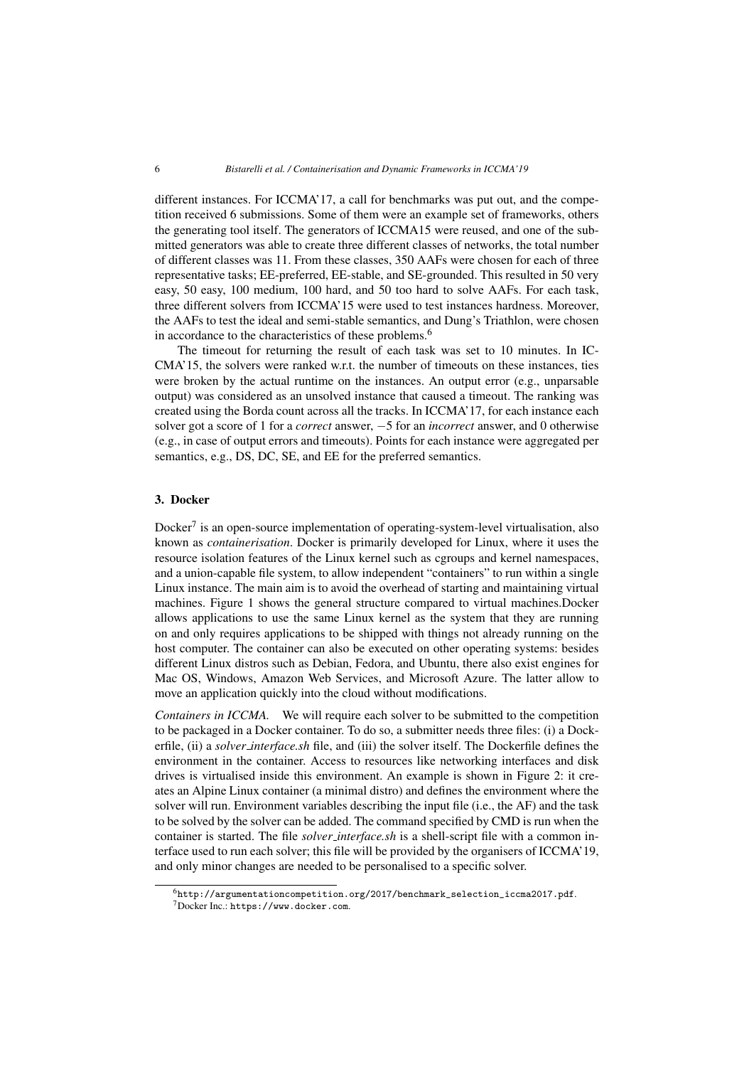different instances. For ICCMA'17, a call for benchmarks was put out, and the competition received 6 submissions. Some of them were an example set of frameworks, others the generating tool itself. The generators of ICCMA15 were reused, and one of the submitted generators was able to create three different classes of networks, the total number of different classes was 11. From these classes, 350 AAFs were chosen for each of three representative tasks; EE-preferred, EE-stable, and SE-grounded. This resulted in 50 very easy, 50 easy, 100 medium, 100 hard, and 50 too hard to solve AAFs. For each task, three different solvers from ICCMA'15 were used to test instances hardness. Moreover, the AAFs to test the ideal and semi-stable semantics, and Dung's Triathlon, were chosen in accordance to the characteristics of these problems.<sup>6</sup>

The timeout for returning the result of each task was set to 10 minutes. In IC-CMA'15, the solvers were ranked w.r.t. the number of timeouts on these instances, ties were broken by the actual runtime on the instances. An output error (e.g., unparsable output) was considered as an unsolved instance that caused a timeout. The ranking was created using the Borda count across all the tracks. In ICCMA'17, for each instance each solver got a score of 1 for a *correct* answer, −5 for an *incorrect* answer, and 0 otherwise (e.g., in case of output errors and timeouts). Points for each instance were aggregated per semantics, e.g., DS, DC, SE, and EE for the preferred semantics.

## 3. Docker

Docker<sup>7</sup> is an open-source implementation of operating-system-level virtualisation, also known as *containerisation*. Docker is primarily developed for Linux, where it uses the resource isolation features of the Linux kernel such as cgroups and kernel namespaces, and a union-capable file system, to allow independent "containers" to run within a single Linux instance. The main aim is to avoid the overhead of starting and maintaining virtual machines. Figure 1 shows the general structure compared to virtual machines.Docker allows applications to use the same Linux kernel as the system that they are running on and only requires applications to be shipped with things not already running on the host computer. The container can also be executed on other operating systems: besides different Linux distros such as Debian, Fedora, and Ubuntu, there also exist engines for Mac OS, Windows, Amazon Web Services, and Microsoft Azure. The latter allow to move an application quickly into the cloud without modifications.

*Containers in ICCMA*. We will require each solver to be submitted to the competition to be packaged in a Docker container. To do so, a submitter needs three files: (i) a Dockerfile, (ii) a *solver interface.sh* file, and (iii) the solver itself. The Dockerfile defines the environment in the container. Access to resources like networking interfaces and disk drives is virtualised inside this environment. An example is shown in Figure 2: it creates an Alpine Linux container (a minimal distro) and defines the environment where the solver will run. Environment variables describing the input file (i.e., the AF) and the task to be solved by the solver can be added. The command specified by CMD is run when the container is started. The file *solver interface.sh* is a shell-script file with a common interface used to run each solver; this file will be provided by the organisers of ICCMA'19, and only minor changes are needed to be personalised to a specific solver.

 $6$ http://argumentationcompetition.org/2017/benchmark\_selection\_iccma2017.pdf. <sup>7</sup>Docker Inc.: https://www.docker.com.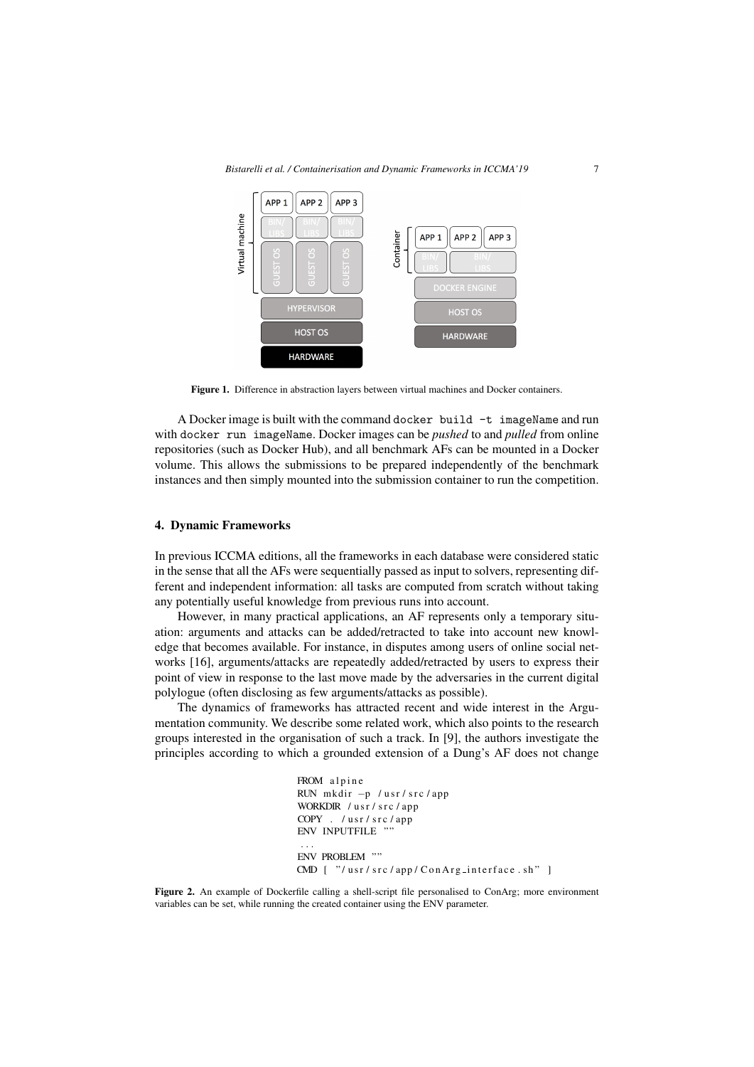

Figure 1. Difference in abstraction layers between virtual machines and Docker containers.

A Docker image is built with the command docker build  $-t$  imageName and run with docker run imageName. Docker images can be *pushed* to and *pulled* from online repositories (such as Docker Hub), and all benchmark AFs can be mounted in a Docker volume. This allows the submissions to be prepared independently of the benchmark instances and then simply mounted into the submission container to run the competition.

#### 4. Dynamic Frameworks

In previous ICCMA editions, all the frameworks in each database were considered static in the sense that all the AFs were sequentially passed as input to solvers, representing different and independent information: all tasks are computed from scratch without taking any potentially useful knowledge from previous runs into account.

However, in many practical applications, an AF represents only a temporary situation: arguments and attacks can be added/retracted to take into account new knowledge that becomes available. For instance, in disputes among users of online social networks [16], arguments/attacks are repeatedly added/retracted by users to express their point of view in response to the last move made by the adversaries in the current digital polylogue (often disclosing as few arguments/attacks as possible).

The dynamics of frameworks has attracted recent and wide interest in the Argumentation community. We describe some related work, which also points to the research groups interested in the organisation of such a track. In [9], the authors investigate the principles according to which a grounded extension of a Dung's AF does not change

```
FROM alpine
RUN mkdir -p /usr/src/app
WORKDIR / usr/src/app
COPY . /usr/src/app
ENV INPUTFILE ""
 . . .
ENV PROBLEM ""
CMD [ "/usr/src/app/ConArg_interface.sh"]
```
Figure 2. An example of Dockerfile calling a shell-script file personalised to ConArg; more environment variables can be set, while running the created container using the ENV parameter.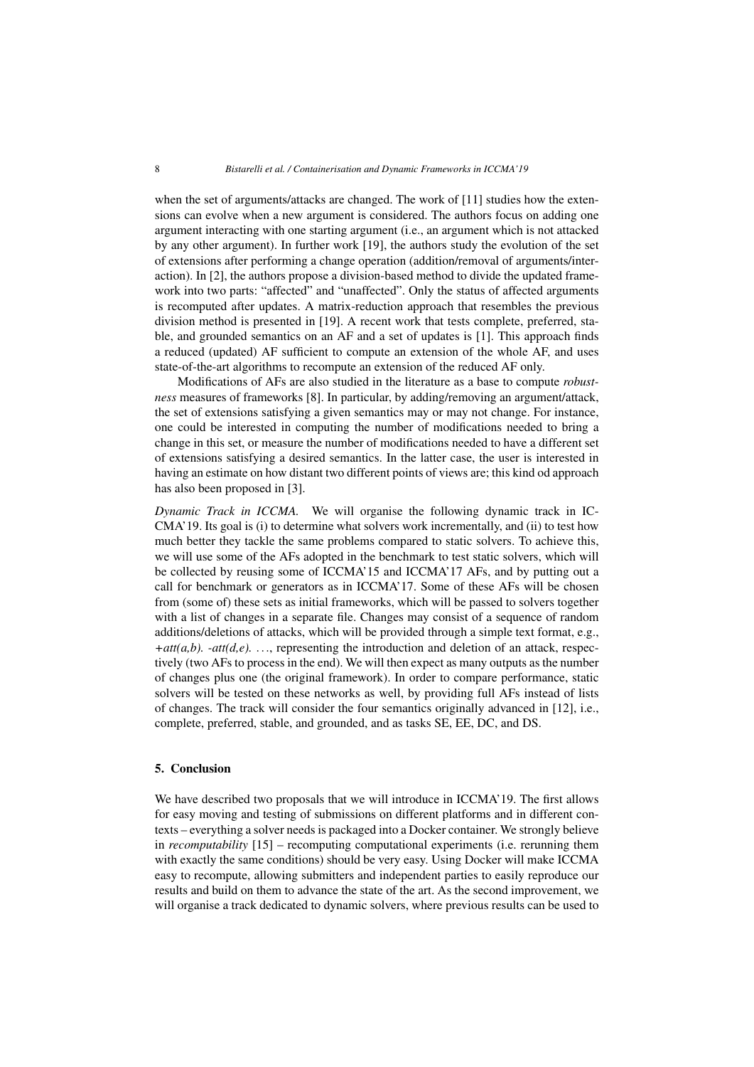when the set of arguments/attacks are changed. The work of [11] studies how the extensions can evolve when a new argument is considered. The authors focus on adding one argument interacting with one starting argument (i.e., an argument which is not attacked by any other argument). In further work [19], the authors study the evolution of the set of extensions after performing a change operation (addition/removal of arguments/interaction). In [2], the authors propose a division-based method to divide the updated framework into two parts: "affected" and "unaffected". Only the status of affected arguments is recomputed after updates. A matrix-reduction approach that resembles the previous division method is presented in [19]. A recent work that tests complete, preferred, stable, and grounded semantics on an AF and a set of updates is [1]. This approach finds a reduced (updated) AF sufficient to compute an extension of the whole AF, and uses state-of-the-art algorithms to recompute an extension of the reduced AF only.

Modifications of AFs are also studied in the literature as a base to compute *robustness* measures of frameworks [8]. In particular, by adding/removing an argument/attack, the set of extensions satisfying a given semantics may or may not change. For instance, one could be interested in computing the number of modifications needed to bring a change in this set, or measure the number of modifications needed to have a different set of extensions satisfying a desired semantics. In the latter case, the user is interested in having an estimate on how distant two different points of views are; this kind od approach has also been proposed in [3].

*Dynamic Track in ICCMA.* We will organise the following dynamic track in IC-CMA'19. Its goal is (i) to determine what solvers work incrementally, and (ii) to test how much better they tackle the same problems compared to static solvers. To achieve this, we will use some of the AFs adopted in the benchmark to test static solvers, which will be collected by reusing some of ICCMA'15 and ICCMA'17 AFs, and by putting out a call for benchmark or generators as in ICCMA'17. Some of these AFs will be chosen from (some of) these sets as initial frameworks, which will be passed to solvers together with a list of changes in a separate file. Changes may consist of a sequence of random additions/deletions of attacks, which will be provided through a simple text format, e.g.,  $+$ *att(a,b).*  $-$ *att(d,e).* ..., representing the introduction and deletion of an attack, respectively (two AFs to process in the end). We will then expect as many outputs as the number of changes plus one (the original framework). In order to compare performance, static solvers will be tested on these networks as well, by providing full AFs instead of lists of changes. The track will consider the four semantics originally advanced in [12], i.e., complete, preferred, stable, and grounded, and as tasks SE, EE, DC, and DS.

## 5. Conclusion

We have described two proposals that we will introduce in ICCMA'19. The first allows for easy moving and testing of submissions on different platforms and in different contexts – everything a solver needs is packaged into a Docker container. We strongly believe in *recomputability* [15] – recomputing computational experiments (i.e. rerunning them with exactly the same conditions) should be very easy. Using Docker will make ICCMA easy to recompute, allowing submitters and independent parties to easily reproduce our results and build on them to advance the state of the art. As the second improvement, we will organise a track dedicated to dynamic solvers, where previous results can be used to